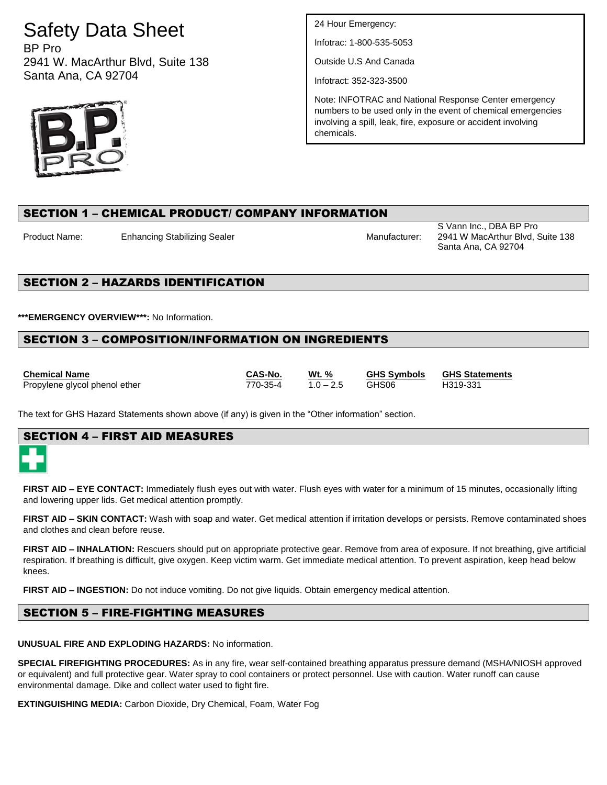# Safety Data Sheet

BP Pro 2941 W. MacArthur Blvd, Suite 138 Santa Ana, CA 92704



24 Hour Emergency:

Infotrac: 1-800-535-5053

Outside U.S And Canada

Infotract: 352-323-3500

Note: INFOTRAC and National Response Center emergency numbers to be used only in the event of chemical emergencies involving a spill, leak, fire, exposure or accident involving chemicals.

# SECTION 1 – CHEMICAL PRODUCT/ COMPANY INFORMATION

Product Name: Enhancing Stabilizing Sealer Manufacturer: Manufacturer:

S Vann Inc., DBA BP Pro 2941 W MacArthur Blvd, Suite 138 Santa Ana, CA 92704

# SECTION 2 – HAZARDS IDENTIFICATION

**\*\*\*EMERGENCY OVERVIEW\*\*\*:** No Information.

# SECTION 3 – COMPOSITION/INFORMATION ON INGREDIENTS

**Chemical Name CAS-No. Wt. % GHS Symbols GHS Statements** Propylene glycol phenol ether 770-35-4 1.0 – 2.5 GHS06 H319-331

The text for GHS Hazard Statements shown above (if any) is given in the "Other information" section.

# SECTION 4 – FIRST AID MEASURES

**FIRST AID – EYE CONTACT:** Immediately flush eyes out with water. Flush eyes with water for a minimum of 15 minutes, occasionally lifting and lowering upper lids. Get medical attention promptly.

**FIRST AID – SKIN CONTACT:** Wash with soap and water. Get medical attention if irritation develops or persists. Remove contaminated shoes and clothes and clean before reuse.

**FIRST AID – INHALATION:** Rescuers should put on appropriate protective gear. Remove from area of exposure. If not breathing, give artificial respiration. If breathing is difficult, give oxygen. Keep victim warm. Get immediate medical attention. To prevent aspiration, keep head below knees.

**FIRST AID – INGESTION:** Do not induce vomiting. Do not give liquids. Obtain emergency medical attention.

# SECTION 5 – FIRE-FIGHTING MEASURES

**UNUSUAL FIRE AND EXPLODING HAZARDS:** No information.

**SPECIAL FIREFIGHTING PROCEDURES:** As in any fire, wear self-contained breathing apparatus pressure demand (MSHA/NIOSH approved or equivalent) and full protective gear. Water spray to cool containers or protect personnel. Use with caution. Water runoff can cause environmental damage. Dike and collect water used to fight fire.

**EXTINGUISHING MEDIA:** Carbon Dioxide, Dry Chemical, Foam, Water Fog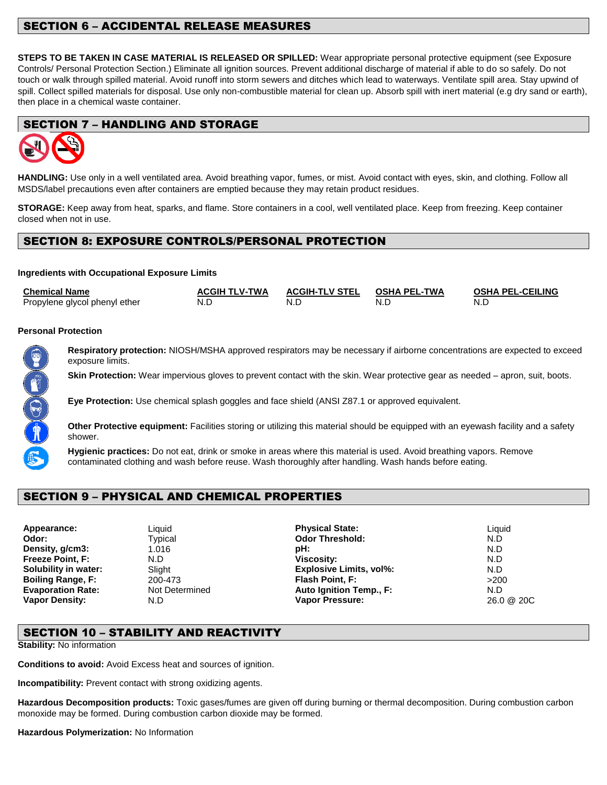# SECTION 6 – ACCIDENTAL RELEASE MEASURES

**STEPS TO BE TAKEN IN CASE MATERIAL IS RELEASED OR SPILLED:** Wear appropriate personal protective equipment (see Exposure Controls/ Personal Protection Section.) Eliminate all ignition sources. Prevent additional discharge of material if able to do so safely. Do not touch or walk through spilled material. Avoid runoff into storm sewers and ditches which lead to waterways. Ventilate spill area. Stay upwind of spill. Collect spilled materials for disposal. Use only non-combustible material for clean up. Absorb spill with inert material (e.g dry sand or earth), then place in a chemical waste container.

# SECTION 7 – HANDLING AND STORAGE



**HANDLING:** Use only in a well ventilated area. Avoid breathing vapor, fumes, or mist. Avoid contact with eyes, skin, and clothing. Follow all MSDS/label precautions even after containers are emptied because they may retain product residues.

**STORAGE:** Keep away from heat, sparks, and flame. Store containers in a cool, well ventilated place. Keep from freezing. Keep container closed when not in use.

# SECTION 8: EXPOSURE CONTROLS/PERSONAL PROTECTION

#### **Ingredients with Occupational Exposure Limits**

| <b>Chemical Name</b>          | <b>ACGIH TLV-TWA</b> | ACGIH-TLV STEL OSHA PEL-TWA |     | <b>OSHA PEL-CEILING</b> |
|-------------------------------|----------------------|-----------------------------|-----|-------------------------|
| Propylene glycol phenyl ether | N.E                  | N.D                         | N.C | N.L                     |

#### **Personal Protection**

Both Che

**Respiratory protection:** NIOSH/MSHA approved respirators may be necessary if airborne concentrations are expected to exceed exposure limits.

**Skin Protection:** Wear impervious gloves to prevent contact with the skin. Wear protective gear as needed – apron, suit, boots.

**Eye Protection:** Use chemical splash goggles and face shield (ANSI Z87.1 or approved equivalent.

**Other Protective equipment:** Facilities storing or utilizing this material should be equipped with an eyewash facility and a safety shower.

**Hygienic practices:** Do not eat, drink or smoke in areas where this material is used. Avoid breathing vapors. Remove contaminated clothing and wash before reuse. Wash thoroughly after handling. Wash hands before eating.

# SECTION 9 – PHYSICAL AND CHEMICAL PROPERTIES

Vapor Density: N.D **Vapor Pressure: Vapor Pressure:** 

**Appearance:** Liquid **Physical State:** Liquid **Odor:** Typical **Construction Codor Threshold:** N.D **Density, g/cm3:** 1.016 **pH:** N.D **Freeze Point, F:** N.D **Viscosity:** N.D **Solubility in water:** Slight **Explosive Limits, vol%:** N.D **Boiling Range, F:** 200-473 **Flash Point, F:** >200 **Evaporation Rate:** Not Determined **Auto Ignition Temp., F:** N.D N.D **Vapor Density:** N.D **Vapor Pressure:** 26.0 @ 20C

# SECTION 10 – STABILITY AND REACTIVITY

**Stability:** No information

**Conditions to avoid:** Avoid Excess heat and sources of ignition.

**Incompatibility:** Prevent contact with strong oxidizing agents.

**Hazardous Decomposition products:** Toxic gases/fumes are given off during burning or thermal decomposition. During combustion carbon monoxide may be formed. During combustion carbon dioxide may be formed.

**Hazardous Polymerization:** No Information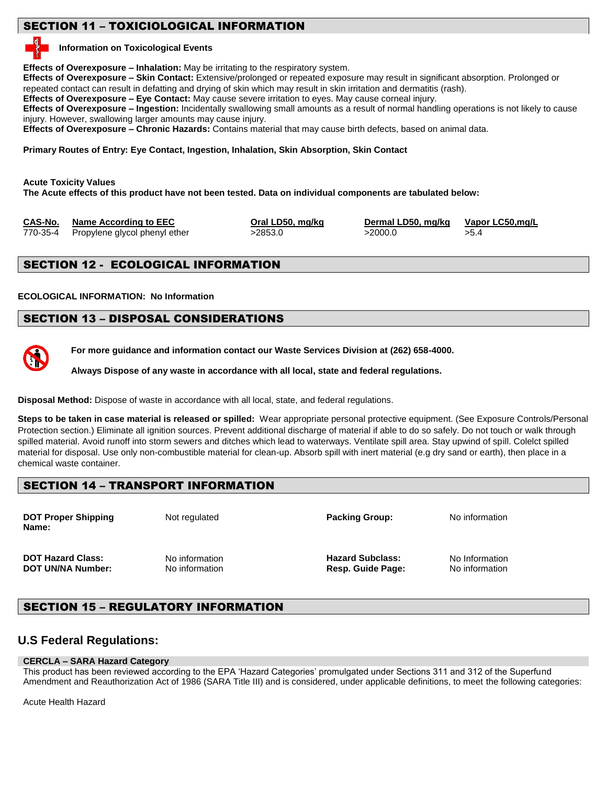# SECTION 11 – TOXICIOLOGICAL INFORMATION

#### **Information on Toxicological Events**

**Effects of Overexposure – Inhalation:** May be irritating to the respiratory system.

**Effects of Overexposure – Skin Contact:** Extensive/prolonged or repeated exposure may result in significant absorption. Prolonged or repeated contact can result in defatting and drying of skin which may result in skin irritation and dermatitis (rash).

**Effects of Overexposure – Eye Contact:** May cause severe irritation to eyes. May cause corneal injury.

**Effects of Overexposure – Ingestion:** Incidentally swallowing small amounts as a result of normal handling operations is not likely to cause injury. However, swallowing larger amounts may cause injury.

**Effects of Overexposure – Chronic Hazards:** Contains material that may cause birth defects, based on animal data.

**Primary Routes of Entry: Eye Contact, Ingestion, Inhalation, Skin Absorption, Skin Contact**

**Acute Toxicity Values**

**The Acute effects of this product have not been tested. Data on individual components are tabulated below:** 

| CAS-No. | <b>Name According to EEC</b>           | Oral LD50, mg/kg | Dermal LD50, mg/kg | Vapor LC50,mg/L |
|---------|----------------------------------------|------------------|--------------------|-----------------|
|         | 770-35-4 Propylene glycol phenyl ether | >2853.0          | >2000.0            | >5.4            |

# SECTION 12 - ECOLOGICAL INFORMATION

**ECOLOGICAL INFORMATION: No Information**

# SECTION 13 – DISPOSAL CONSIDERATIONS

**For more guidance and information contact our Waste Services Division at (262) 658-4000.**

**Always Dispose of any waste in accordance with all local, state and federal regulations.** 

**Disposal Method:** Dispose of waste in accordance with all local, state, and federal regulations.

**Steps to be taken in case material is released or spilled:** Wear appropriate personal protective equipment. (See Exposure Controls/Personal Protection section.) Eliminate all ignition sources. Prevent additional discharge of material if able to do so safely. Do not touch or walk through spilled material. Avoid runoff into storm sewers and ditches which lead to waterways. Ventilate spill area. Stay upwind of spill. Colelct spilled material for disposal. Use only non-combustible material for clean-up. Absorb spill with inert material (e.g dry sand or earth), then place in a chemical waste container.

# SECTION 14 – TRANSPORT INFORMATION

**DOT Proper Shipping Not regulated <b>Packing Group:** No information **Notice Regulated Packing Group:** No information **Name:**

**DOT Hazard Class:** No information **Hazard Subclass:** No Information **Hazard Subclass:** No Information **DOT UN/NA Number:** No information **Resp. Guide Page:** No information

# SECTION 15 – REGULATORY INFORMATION

# **U.S Federal Regulations:**

# **CERCLA – SARA Hazard Category**

This product has been reviewed according to the EPA 'Hazard Categories' promulgated under Sections 311 and 312 of the Superfund Amendment and Reauthorization Act of 1986 (SARA Title III) and is considered, under applicable definitions, to meet the following categories:

Acute Health Hazard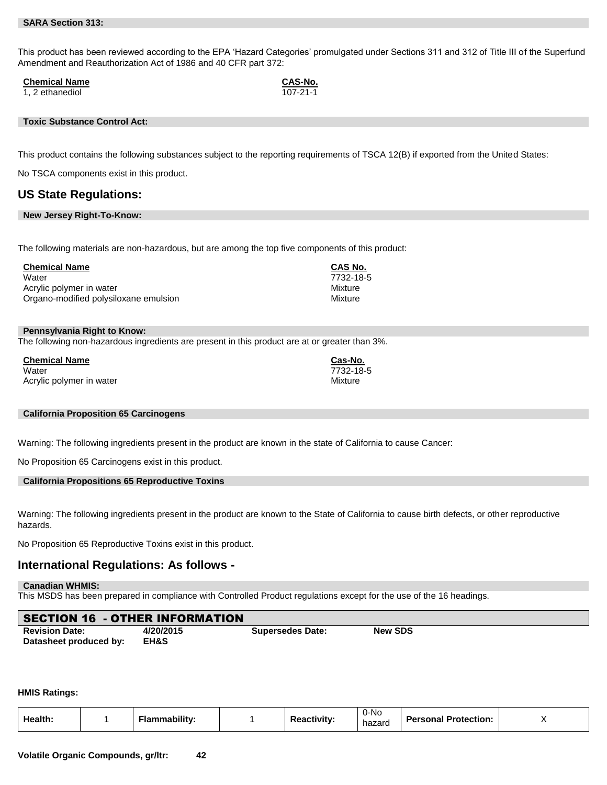This product has been reviewed according to the EPA 'Hazard Categories' promulgated under Sections 311 and 312 of Title III of the Superfund Amendment and Reauthorization Act of 1986 and 40 CFR part 372:

**Chemical Name**<br> **CAS-No.**<br> **CAS-No.**<br> **CAS-No.**<br> **CAS-No.** 

1, 2 ethanediol

#### **Toxic Substance Control Act:**

This product contains the following substances subject to the reporting requirements of TSCA 12(B) if exported from the United States:

No TSCA components exist in this product.

#### **US State Regulations:**

#### **New Jersey Right-To-Know:**

The following materials are non-hazardous, but are among the top five components of this product:

| <b>Chemical Name</b>                  | <b>CAS No.</b> |
|---------------------------------------|----------------|
| Water                                 | 7732-18-5      |
| Acrylic polymer in water              | Mixture        |
| Organo-modified polysiloxane emulsion | Mixture        |

#### **Pennsylvania Right to Know:**

The following non-hazardous ingredients are present in this product are at or greater than 3%.

**Chemical Name Cas-No.**  Water 7732-18-5 Acrylic polymer in water **Mixture** Mixture Mixture

#### **California Proposition 65 Carcinogens**

Warning: The following ingredients present in the product are known in the state of California to cause Cancer:

No Proposition 65 Carcinogens exist in this product.

#### **California Propositions 65 Reproductive Toxins**

Warning: The following ingredients present in the product are known to the State of California to cause birth defects, or other reproductive hazards.

No Proposition 65 Reproductive Toxins exist in this product.

#### **International Regulations: As follows -**

#### **Canadian WHMIS:**

This MSDS has been prepared in compliance with Controlled Product regulations except for the use of the 16 headings.

|                       | <b>SECTION 16 - OTHER INFORMATION</b> |                         |                |  |
|-----------------------|---------------------------------------|-------------------------|----------------|--|
| <b>Revision Date:</b> | 4/20/2015                             | <b>Supersedes Date:</b> | <b>New SDS</b> |  |

#### **HMIS Ratings:**

**Datasheet produced by: EH&S**